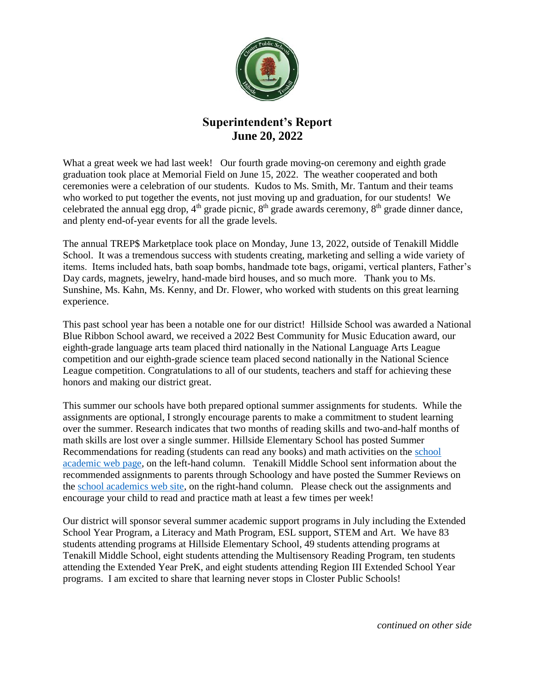

## **Superintendent's Report June 20, 2022**

What a great week we had last week! Our fourth grade moving-on ceremony and eighth grade graduation took place at Memorial Field on June 15, 2022. The weather cooperated and both ceremonies were a celebration of our students. Kudos to Ms. Smith, Mr. Tantum and their teams who worked to put together the events, not just moving up and graduation, for our students! We celebrated the annual egg drop,  $4<sup>th</sup>$  grade picnic,  $8<sup>th</sup>$  grade awards ceremony,  $8<sup>th</sup>$  grade dinner dance, and plenty end-of-year events for all the grade levels.

The annual TREP\$ Marketplace took place on Monday, June 13, 2022, outside of Tenakill Middle School. It was a tremendous success with students creating, marketing and selling a wide variety of items. Items included hats, bath soap bombs, handmade tote bags, origami, vertical planters, Father's Day cards, magnets, jewelry, hand-made bird houses, and so much more. Thank you to Ms. Sunshine, Ms. Kahn, Ms. Kenny, and Dr. Flower, who worked with students on this great learning experience.

This past school year has been a notable one for our district! Hillside School was awarded a National Blue Ribbon School award, we received a 2022 Best Community for Music Education award, our eighth-grade language arts team placed third nationally in the National Language Arts League competition and our eighth-grade science team placed second nationally in the National Science League competition. Congratulations to all of our students, teachers and staff for achieving these honors and making our district great.

This summer our schools have both prepared optional summer assignments for students. While the assignments are optional, I strongly encourage parents to make a commitment to student learning over the summer. Research indicates that two months of reading skills and two-and-half months of math skills are lost over a single summer. Hillside Elementary School has posted Summer Recommendations for reading (students can read any books) and math activities on the school [academic web page,](https://hillside.closterschools.org/Academics) on the left-hand column. Tenakill Middle School sent information about the recommended assignments to parents through Schoology and have posted the Summer Reviews on the [school academics web site,](https://tenakill.closterschools.org/Academics) on the right-hand column. Please check out the assignments and encourage your child to read and practice math at least a few times per week!

Our district will sponsor several summer academic support programs in July including the Extended School Year Program, a Literacy and Math Program, ESL support, STEM and Art. We have 83 students attending programs at Hillside Elementary School, 49 students attending programs at Tenakill Middle School, eight students attending the Multisensory Reading Program, ten students attending the Extended Year PreK, and eight students attending Region III Extended School Year programs. I am excited to share that learning never stops in Closter Public Schools!

*continued on other side*